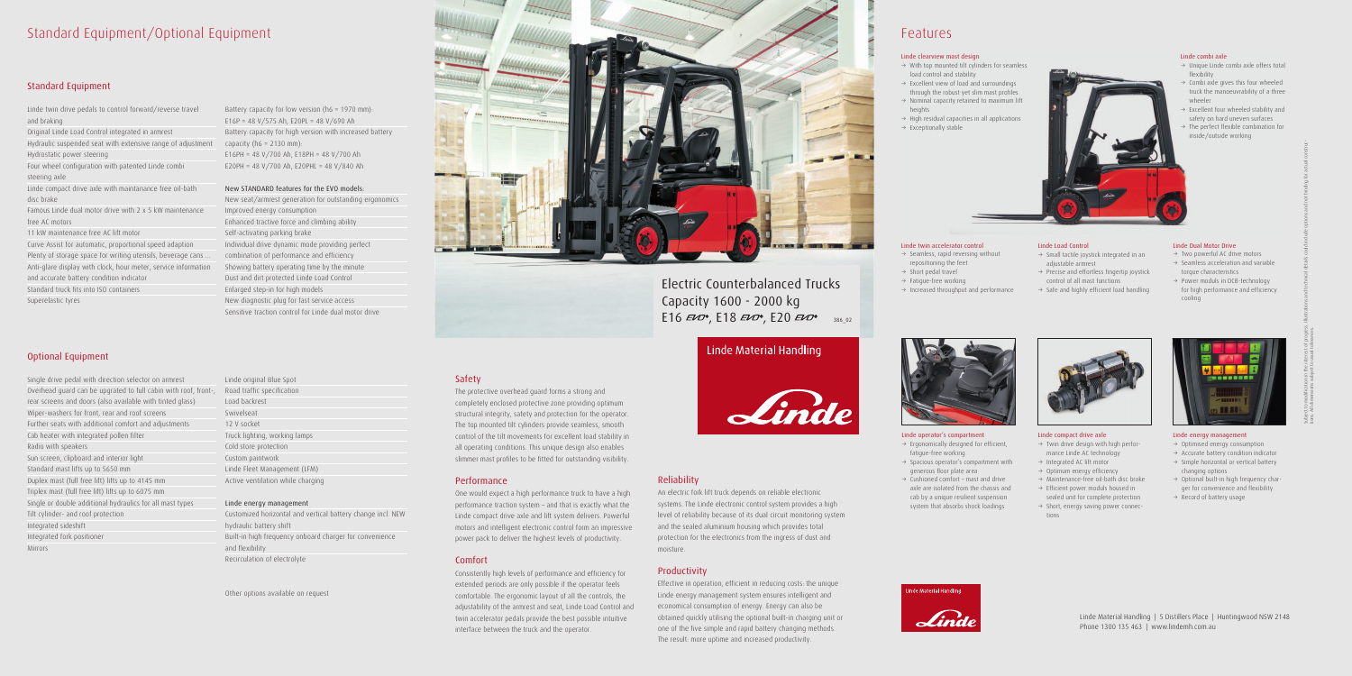# Standard Equipment/Optional Equipment

### Standard Equipment

Linde twin drive pedals to control forward/reverse travel and braking Original Linde Load Control integrated in armrest Hydraulic suspended seat with extensive range of adjustment capacity (h6 = 2130 mm): Hydrostatic power steering Four wheel configuration with patented Linde combi steering axle Linde compact drive axle with maintanance free oil-bath disc brake Famous Linde dual motor drive with 2 x 5 kW maintenance

free AC motors

11 kW maintenance free AC lift motor Curve Assist for automatic, proportional speed adaption Plenty of storage space for writing utensils, beverage cans ... Anti-glare display with clock, hour meter, service information and accurate battery condition indicator

Standard truck fits into ISO containers

Superelastic tyres

### Optional Equipment

Single drive pedal with direction selector on armrest Overhead guard can be upgrated to full cabin with roof, front-, Road traffic specification rear screens and doors (also available with tinted glass) Wiper-washers for front, rear and roof screens Further seats with additional comfort and adjustments Cab heater with integrated pollen filter Radio with speakers Sun screen, clipboard and interior light Standard mast lifts up to 5650 mm Duplex mast (full free lift) lifts up to 4145 mm Triplex mast (full free lift) lifts up to 6075 mm Single or double additional hydraulics for all mast types Tilt cylinder- and roof protection Integrated sideshift Integrated fork positioner Mirrors

Battery capacity for low version (h6 = 1970 mm): E16P = 48 V/575 Ah, E20PL = 48 V/690 Ah Battery capacity for high version with increased battery E16PH = 48 V/700 Ah, E18PH = 48 V/700 Ah E20PH = 48 V/700 Ah, E20PHL = 48 V/840 Ah

### New STANDARD features for the EVO models:

New seat/armrest generation for outstanding ergonomics Improved energy consumption Enhanced tractive force and climbing ability Self-activating parking brake Individual drive dynamic mode providing perfect combination of performance and efficiency Showing battery operating time by the minute Dust and dirt protected Linde Load Control Enlarged step-in for high models New diagnostic plug for fast service access Sensitive traction control for Linde dual motor drive

Linde original Blue Spot Load backrest Swivelseat 12 V socket Truck lighting, working lamps Cold store protection Custom paintwork Linde Fleet Management (LFM) Active ventilation while charging

- $\rightarrow$  Ergonomically designed for efficient, fatigue-free working
- $\rightarrow$  Spacious operator's compartment with generous floor plate area
- $\rightarrow$  Cushioned comfort mast and drive axle are isolated from the chassis and cab by a unique resilient suspension system that absorbs shock loadings



#### Linde energy management

Customized horizontal and vertical battery change incl. NEW hydraulic battery shift Built-in high frequency onboard charger for convenience and flexibility Recirculation of electrolyte

- $\rightarrow$  Twin drive design with high performance Linde AC technology
- $\rightarrow$  Integrated AC lift motor
- $\rightarrow$  Optimum energy efficiency
- $\rightarrow$  Maintenance-free oil-bath disc brake
- $\rightarrow$  Efficient power moduls housed in sealed unit for complete protection
- $\rightarrow$  Short, energy saving power connections



Other options available on request



### Safety

- $\rightarrow$  Two powerful AC drive motors
- $\rightarrow$  Seamless acceleration and variable torque characteristics
- $\rightarrow$  Power moduls in DCB-technology for high performance and efficiency cooling



The protective overhead guard forms a strong and completely enclosed protective zone providing optimum structural integrity, safety and protection for the operator. The top mounted tilt cylinders provide seamless, smooth control of the tilt movements for excellent load stability in all operating conditions. This unique design also enables slimmer mast profiles to be fitted for outstanding visibility.

- $\rightarrow$  Unique Linde combi axle offers total flexibility
- $\rightarrow$  Combi axle gives this four wheeled truck the manoeuvrability of a three wheeler
- $\rightarrow$  Excellent four wheeled stability and safety on hard uneven surfaces
- 3 The perfect flexible combination for inside/outside working

### Performance

One would expect a high performance truck to have a high performance traction system – and that is exactly what the Linde compact drive axle and lift system delivers. Powerful motors and intelligent electronic control form an impressive power pack to deliver the highest levels of productivity.

# Electric Counterbalanced Trucks Capacity 1600 - 2000 kg E16  $E10^{\circ}$ , E18  $E10^{\circ}$ , E20  $E10^{\circ}$  386\_02

## Linde Material Handling



### Comfort

Consistently high levels of performance and efficiency for extended periods are only possible if the operator feels comfortable. The ergonomic layout of all the controls, the adjustability of the armrest and seat, Linde Load Control and twin accelerator pedals provide the best possible intuitive interface between the truck and the operator.

### Reliability

An electric fork lift truck depends on reliable electronic systems. The Linde electronic control system provides a high level of reliability because of its dual circuit monitoring system and the sealed aluminium housing which provides total protection for the electronics from the ingress of dust and

moisture.

### Productivity

Effective in operation, efficient in reducing costs: the unique Linde energy management system ensures intelligent and economical consumption of energy. Energy can also be obtained quickly utilising the optional built-in charging unit or one of the five simple and rapid battery changing methods. The result: more uptime and increased productivity.

# Features

### Linde operator's compartment

### Linde twin accelerator control

- $\rightarrow$  Seamless, rapid reversing without repositioning the feet
- $\rightarrow$  Short pedal travel
- $\rightarrow$  Fatigue-free working
- $\rightarrow$  Increased throughput and performance

### Linde compact drive axle

### Linde Dual Motor Drive

### Linde energy management

- $\rightarrow$  Optimised energy consumption
- $\rightarrow$  Accurate battery condition indicator
- $\rightarrow$  Simple horizontal or vertical battery changing options
- $\rightarrow$  Optional built-in high frequency charger for convenience and flexibility
- $\rightarrow$  Record of battery usage



### Linde combi axle

### Linde Load Control

- $\rightarrow$  Small tactile joystick integrated in an adjustable armrest
- $\rightarrow$  Precise and effortless fingertip joystick control of all mast functions
- $\rightarrow$  Safe and highly efficient load handling

### Linde clearview mast design

- $\rightarrow$  With top mounted tilt cylinders for seamless load control and stability
- $\rightarrow$  Excellent view of load and surroundings through the robust yet slim mast profiles
- $\rightarrow$  Nominal capacity retained to maximum lift heights
- $\rightarrow$  High residual capacities in all applications
- $\rightarrow$  Exceptionally stable



Linde Material Handling | 5 Distillers Place | Huntingwood NSW 2148 Phone 1300 135 463 | www.lindemh.com.au